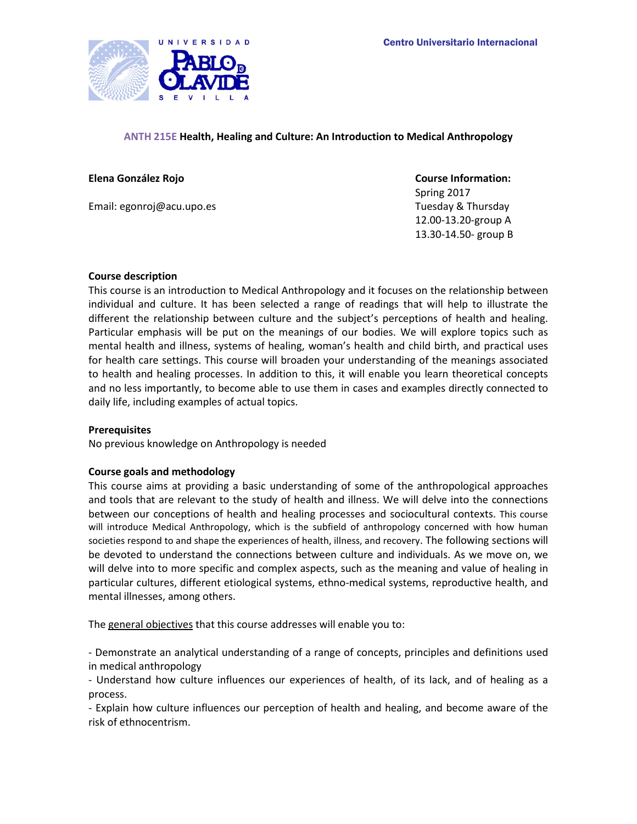

# **ANTH 215E Health, Healing and Culture: An Introduction to Medical Anthropology**

# **Elena González Rojo Course Information:**

Email: egonroj@acu.upo.es Tuesday & Thursday & Thursday

Spring 2017 12.00-13.20-group A 13.30-14.50- group B

# **Course description**

This course is an introduction to Medical Anthropology and it focuses on the relationship between individual and culture. It has been selected a range of readings that will help to illustrate the different the relationship between culture and the subject's perceptions of health and healing. Particular emphasis will be put on the meanings of our bodies. We will explore topics such as mental health and illness, systems of healing, woman's health and child birth, and practical uses for health care settings. This course will broaden your understanding of the meanings associated to health and healing processes. In addition to this, it will enable you learn theoretical concepts and no less importantly, to become able to use them in cases and examples directly connected to daily life, including examples of actual topics.

# **Prerequisites**

No previous knowledge on Anthropology is needed

# **Course goals and methodology**

This course aims at providing a basic understanding of some of the anthropological approaches and tools that are relevant to the study of health and illness. We will delve into the connections between our conceptions of health and healing processes and sociocultural contexts. This course will introduce Medical Anthropology, which is the subfield of anthropology concerned with how human societies respond to and shape the experiences of health, illness, and recovery. The following sections will be devoted to understand the connections between culture and individuals. As we move on, we will delve into to more specific and complex aspects, such as the meaning and value of healing in particular cultures, different etiological systems, ethno-medical systems, reproductive health, and mental illnesses, among others.

The general objectives that this course addresses will enable you to:

- Demonstrate an analytical understanding of a range of concepts, principles and definitions used in medical anthropology

- Understand how culture influences our experiences of health, of its lack, and of healing as a process.

- Explain how culture influences our perception of health and healing, and become aware of the risk of ethnocentrism.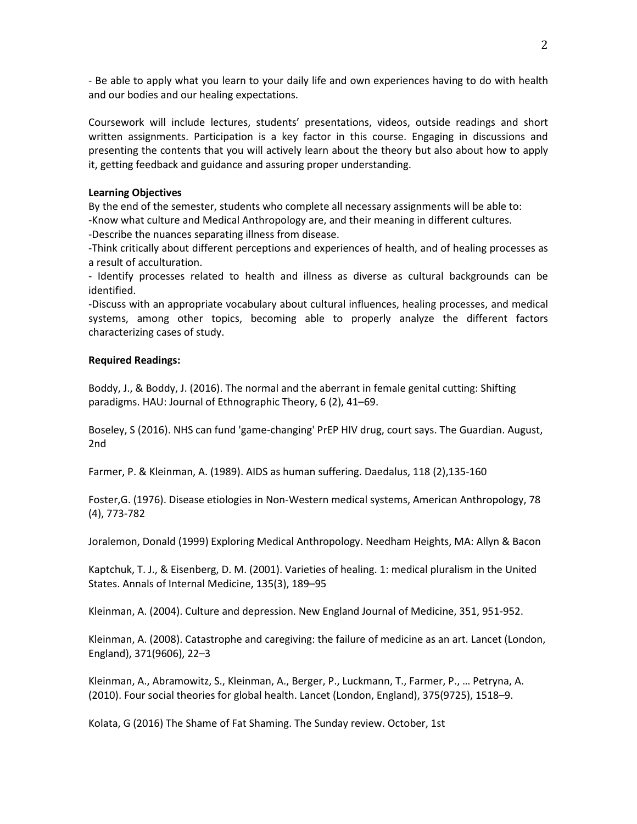- Be able to apply what you learn to your daily life and own experiences having to do with health and our bodies and our healing expectations.

Coursework will include lectures, students' presentations, videos, outside readings and short written assignments. Participation is a key factor in this course. Engaging in discussions and presenting the contents that you will actively learn about the theory but also about how to apply it, getting feedback and guidance and assuring proper understanding.

# **Learning Objectives**

By the end of the semester, students who complete all necessary assignments will be able to:

-Know what culture and Medical Anthropology are, and their meaning in different cultures.

-Describe the nuances separating illness from disease.

-Think critically about different perceptions and experiences of health, and of healing processes as a result of acculturation.

- Identify processes related to health and illness as diverse as cultural backgrounds can be identified.

-Discuss with an appropriate vocabulary about cultural influences, healing processes, and medical systems, among other topics, becoming able to properly analyze the different factors characterizing cases of study.

# **Required Readings:**

Boddy, J., & Boddy, J. (2016). The normal and the aberrant in female genital cutting: Shifting paradigms. HAU: Journal of Ethnographic Theory, 6 (2), 41–69.

Boseley, S (2016). NHS can fund 'game-changing' PrEP HIV drug, court says. The Guardian. August, 2nd

Farmer, P. & Kleinman, A. (1989). AIDS as human suffering. Daedalus, 118 (2),135-160

Foster,G. (1976). Disease etiologies in Non-Western medical systems, American Anthropology, 78 (4), 773-782

Joralemon, Donald (1999) Exploring Medical Anthropology. Needham Heights, MA: Allyn & Bacon

Kaptchuk, T. J., & Eisenberg, D. M. (2001). Varieties of healing. 1: medical pluralism in the United States. Annals of Internal Medicine, 135(3), 189–95

Kleinman, A. (2004). Culture and depression. New England Journal of Medicine, 351, 951-952.

Kleinman, A. (2008). Catastrophe and caregiving: the failure of medicine as an art. Lancet (London, England), 371(9606), 22–3

Kleinman, A., Abramowitz, S., Kleinman, A., Berger, P., Luckmann, T., Farmer, P., … Petryna, A. (2010). Four social theories for global health. Lancet (London, England), 375(9725), 1518–9.

Kolata, G (2016) The Shame of Fat Shaming. The Sunday review. October, 1st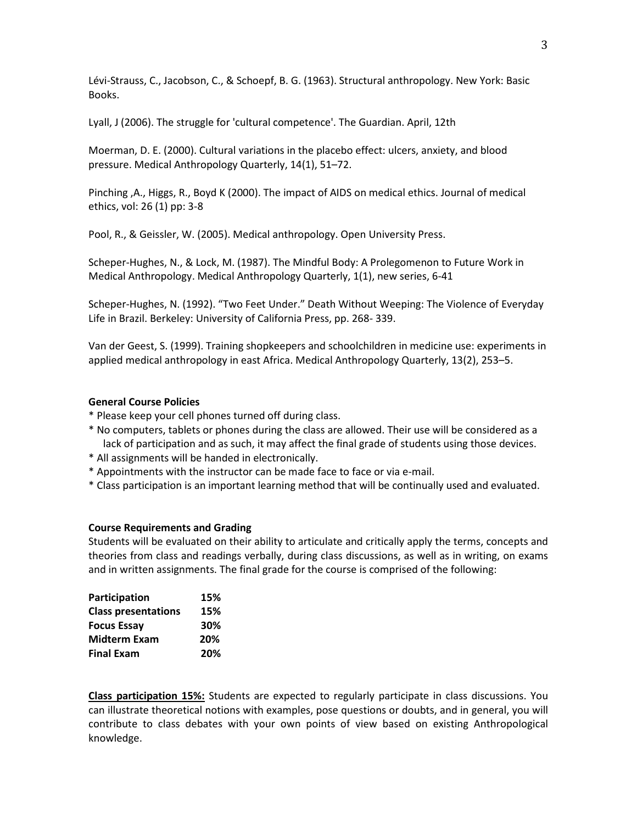Lévi-Strauss, C., Jacobson, C., & Schoepf, B. G. (1963). Structural anthropology. New York: Basic Books.

Lyall, J (2006). The struggle for 'cultural competence'. The Guardian. April, 12th

Moerman, D. E. (2000). Cultural variations in the placebo effect: ulcers, anxiety, and blood pressure. Medical Anthropology Quarterly, 14(1), 51–72.

Pinching ,A., Higgs, R., Boyd K (2000). The impact of AIDS on medical ethics. Journal of medical ethics, vol: 26 (1) pp: 3-8

Pool, R., & Geissler, W. (2005). Medical anthropology. Open University Press.

Scheper-Hughes, N., & Lock, M. (1987). The Mindful Body: A Prolegomenon to Future Work in Medical Anthropology. Medical Anthropology Quarterly, 1(1), new series, 6-41

Scheper-Hughes, N. (1992). "Two Feet Under." Death Without Weeping: The Violence of Everyday Life in Brazil. Berkeley: University of California Press, pp. 268- 339.

Van der Geest, S. (1999). Training shopkeepers and schoolchildren in medicine use: experiments in applied medical anthropology in east Africa. Medical Anthropology Quarterly, 13(2), 253–5.

# **General Course Policies**

- \* Please keep your cell phones turned off during class.
- \* No computers, tablets or phones during the class are allowed. Their use will be considered as a lack of participation and as such, it may affect the final grade of students using those devices.
- \* All assignments will be handed in electronically.
- \* Appointments with the instructor can be made face to face or via e-mail.
- \* Class participation is an important learning method that will be continually used and evaluated.

#### **Course Requirements and Grading**

Students will be evaluated on their ability to articulate and critically apply the terms, concepts and theories from class and readings verbally, during class discussions, as well as in writing, on exams and in written assignments. The final grade for the course is comprised of the following:

| Participation              | 15% |
|----------------------------|-----|
| <b>Class presentations</b> | 15% |
| <b>Focus Essay</b>         | 30% |
| <b>Midterm Exam</b>        | 20% |
| <b>Final Exam</b>          | 20% |

**Class participation 15%:** Students are expected to regularly participate in class discussions. You can illustrate theoretical notions with examples, pose questions or doubts, and in general, you will contribute to class debates with your own points of view based on existing Anthropological knowledge.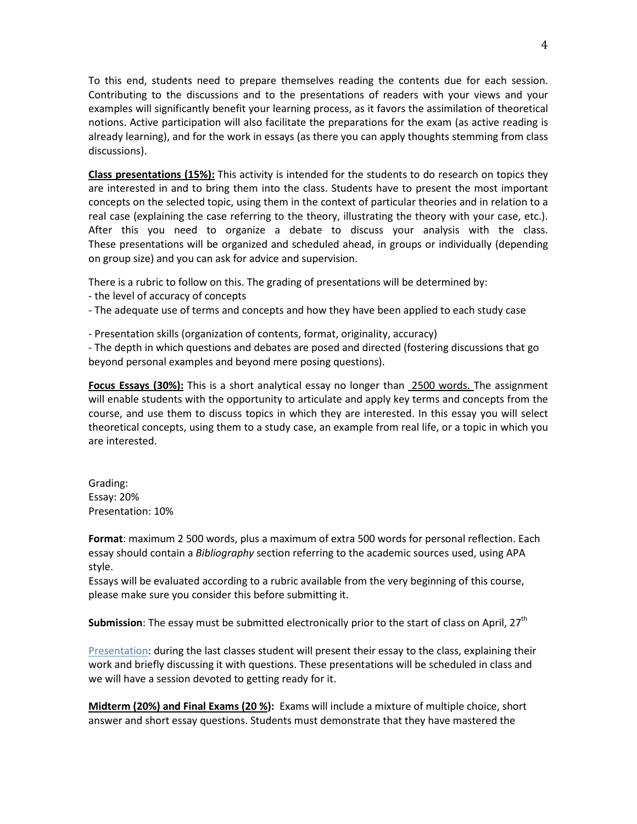To this end, students need to prepare themselves reading the contents due for each session. Contributing to the discussions and to the presentations of readers with your views and your examples will significantly benefit your learning process, as it favors the assimilation of theoretical notions. Active participation will also facilitate the preparations for the exam (as active reading is already learning), and for the work in essays (as there you can apply thoughts stemming from class discussions).

**Class presentations (15%):** This activity is intended for the students to do research on topics they are interested in and to bring them into the class. Students have to present the most important concepts on the selected topic, using them in the context of particular theories and in relation to a real case (explaining the case referring to the theory, illustrating the theory with your case, etc.). After this you need to organize a debate to discuss your analysis with the class. These presentations will be organized and scheduled ahead, in groups or individually (depending on group size) and you can ask for advice and supervision.

There is a rubric to follow on this. The grading of presentations will be determined by:

- the level of accuracy of concepts
- The adequate use of terms and concepts and how they have been applied to each study case
- Presentation skills (organization of contents, format, originality, accuracy)

- The depth in which questions and debates are posed and directed (fostering discussions that go beyond personal examples and beyond mere posing questions).

**Focus Essays (30%):** This is a short analytical essay no longer than 2500 words. The assignment will enable students with the opportunity to articulate and apply key terms and concepts from the course, and use them to discuss topics in which they are interested. In this essay you will select theoretical concepts, using them to a study case, an example from real life, or a topic in which you are interested.

Grading: Essay: 20% Presentation: 10%

**Format**: maximum 2 500 words, plus a maximum of extra 500 words for personal reflection. Each essay should contain a *Bibliography* section referring to the academic sources used, using APA style.

Essays will be evaluated according to a rubric available from the very beginning of this course, please make sure you consider this before submitting it.

**Submission**: The essay must be submitted electronically prior to the start of class on April, 27<sup>th</sup>

Presentation: during the last classes student will present their essay to the class, explaining their work and briefly discussing it with questions. These presentations will be scheduled in class and we will have a session devoted to getting ready for it.

**Midterm (20%) and Final Exams (20 %):** Exams will include a mixture of multiple choice, short answer and short essay questions. Students must demonstrate that they have mastered the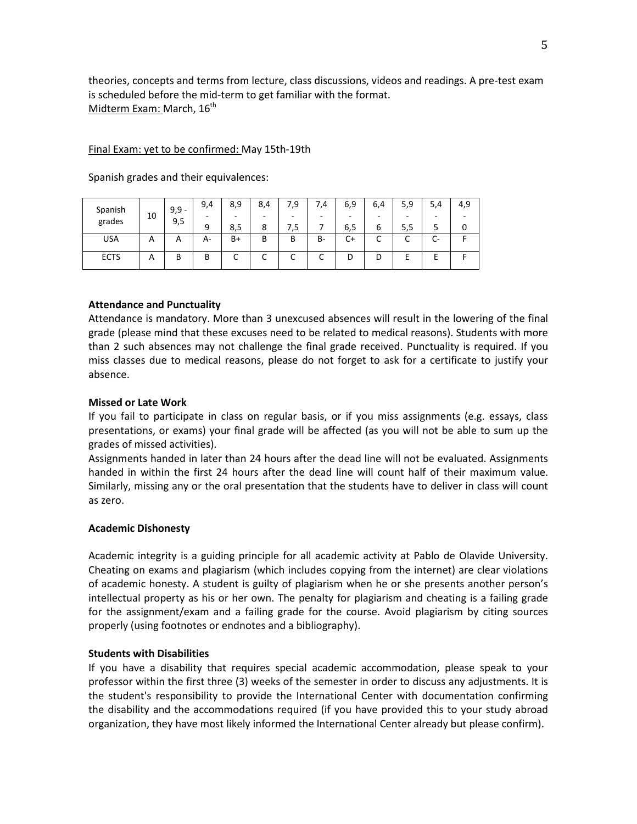theories, concepts and terms from lecture, class discussions, videos and readings. A pre-test exam is scheduled before the mid-term to get familiar with the format. Midterm Exam: March, 16<sup>th</sup>

# Final Exam: yet to be confirmed: May 15th-19th

| Spanish<br>grades | 10<br>9,5 | $9,9 -$ | 9,4 | 8,9  | 8,4 | 7,9 | ',4 | 6,9  | 6,4 | 5,9 | 5,4                           | 4,9                      |
|-------------------|-----------|---------|-----|------|-----|-----|-----|------|-----|-----|-------------------------------|--------------------------|
|                   |           |         | -   | -    | -   | -   | -   | -    | -   |     | -                             | $\overline{\phantom{a}}$ |
|                   |           |         | 9   | 8,5  | 8   | 5.' |     | 6,5  | ь   | 5,5 |                               |                          |
| <b>USA</b>        | Α         | A       | А-  | $B+$ | B   | B   | B-  | $C+$ | ֊   |     | ∽<br>$\overline{\phantom{a}}$ |                          |
| <b>ECTS</b>       | Α         | В       | B   | ◡    | ∽   | ◡   | ◡   | D    | D   |     |                               |                          |

Spanish grades and their equivalences:

# **Attendance and Punctuality**

Attendance is mandatory. More than 3 unexcused absences will result in the lowering of the final grade (please mind that these excuses need to be related to medical reasons). Students with more than 2 such absences may not challenge the final grade received. Punctuality is required. If you miss classes due to medical reasons, please do not forget to ask for a certificate to justify your absence.

# **Missed or Late Work**

If you fail to participate in class on regular basis, or if you miss assignments (e.g. essays, class presentations, or exams) your final grade will be affected (as you will not be able to sum up the grades of missed activities).

Assignments handed in later than 24 hours after the dead line will not be evaluated. Assignments handed in within the first 24 hours after the dead line will count half of their maximum value. Similarly, missing any or the oral presentation that the students have to deliver in class will count as zero.

# **Academic Dishonesty**

Academic integrity is a guiding principle for all academic activity at Pablo de Olavide University. Cheating on exams and plagiarism (which includes copying from the internet) are clear violations of academic honesty. A student is guilty of plagiarism when he or she presents another person's intellectual property as his or her own. The penalty for plagiarism and cheating is a failing grade for the assignment/exam and a failing grade for the course. Avoid plagiarism by citing sources properly (using footnotes or endnotes and a bibliography).

# **Students with Disabilities**

If you have a disability that requires special academic accommodation, please speak to your professor within the first three (3) weeks of the semester in order to discuss any adjustments. It is the student's responsibility to provide the International Center with documentation confirming the disability and the accommodations required (if you have provided this to your study abroad organization, they have most likely informed the International Center already but please confirm).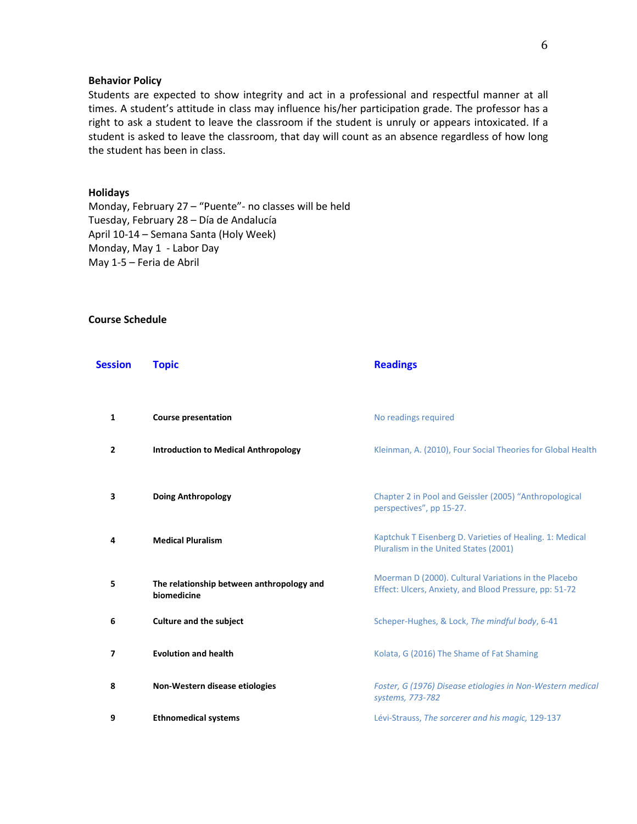# **Behavior Policy**

Students are expected to show integrity and act in a professional and respectful manner at all times. A student's attitude in class may influence his/her participation grade. The professor has a right to ask a student to leave the classroom if the student is unruly or appears intoxicated. If a student is asked to leave the classroom, that day will count as an absence regardless of how long the student has been in class.

#### **Holidays**

Monday, February 27 – "Puente"- no classes will be held Tuesday, February 28 – Día de Andalucía April 10-14 – Semana Santa (Holy Week) Monday, May 1 - Labor Day May 1-5 – Feria de Abril

# **Course Schedule**

| Session | <b>Topic</b>                                             | <b>Readings</b>                                                                                                |
|---------|----------------------------------------------------------|----------------------------------------------------------------------------------------------------------------|
| 1       | <b>Course presentation</b>                               | No readings required                                                                                           |
| 2       | <b>Introduction to Medical Anthropology</b>              | Kleinman, A. (2010), Four Social Theories for Global Health                                                    |
| 3       | <b>Doing Anthropology</b>                                | Chapter 2 in Pool and Geissler (2005) "Anthropological<br>perspectives", pp 15-27.                             |
| 4       | <b>Medical Pluralism</b>                                 | Kaptchuk T Eisenberg D. Varieties of Healing. 1: Medical<br>Pluralism in the United States (2001)              |
| 5       | The relationship between anthropology and<br>biomedicine | Moerman D (2000). Cultural Variations in the Placebo<br>Effect: Ulcers, Anxiety, and Blood Pressure, pp: 51-72 |
| 6       | <b>Culture and the subject</b>                           | Scheper-Hughes, & Lock, The mindful body, 6-41                                                                 |
| 7       | <b>Evolution and health</b>                              | Kolata, G (2016) The Shame of Fat Shaming                                                                      |
| 8       | Non-Western disease etiologies                           | Foster, G (1976) Disease etiologies in Non-Western medical<br>systems, 773-782                                 |
| 9       | <b>Ethnomedical systems</b>                              | Lévi-Strauss, The sorcerer and his magic, 129-137                                                              |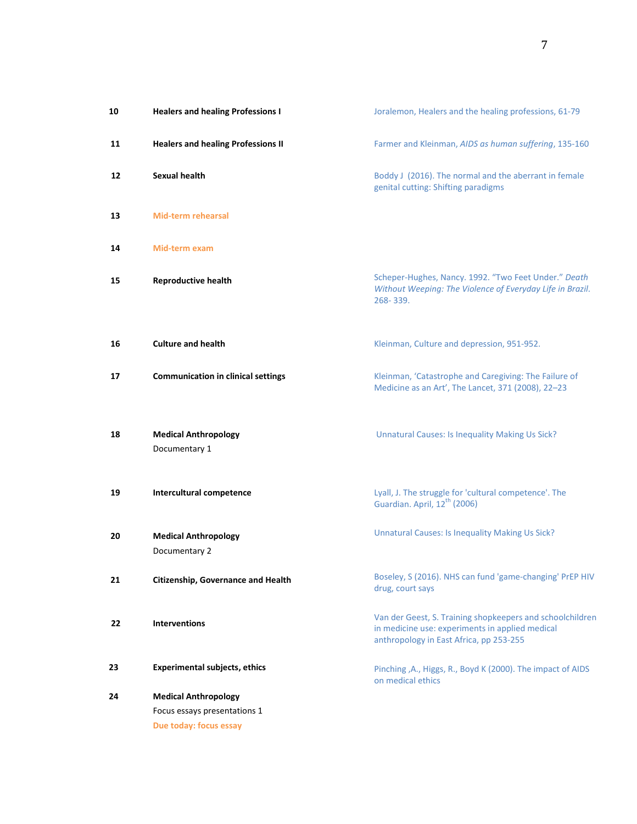| 10 | <b>Healers and healing Professions I</b>     | Joralemon, Healers and the healing professions, 61-79                                                                                                   |
|----|----------------------------------------------|---------------------------------------------------------------------------------------------------------------------------------------------------------|
| 11 | <b>Healers and healing Professions II</b>    | Farmer and Kleinman, AIDS as human suffering, 135-160                                                                                                   |
| 12 | Sexual health                                | Boddy J (2016). The normal and the aberrant in female<br>genital cutting: Shifting paradigms                                                            |
| 13 | <b>Mid-term rehearsal</b>                    |                                                                                                                                                         |
| 14 | Mid-term exam                                |                                                                                                                                                         |
| 15 | <b>Reproductive health</b>                   | Scheper-Hughes, Nancy. 1992. "Two Feet Under." Death<br>Without Weeping: The Violence of Everyday Life in Brazil.<br>268-339.                           |
| 16 | <b>Culture and health</b>                    | Kleinman, Culture and depression, 951-952.                                                                                                              |
| 17 | <b>Communication in clinical settings</b>    | Kleinman, 'Catastrophe and Caregiving: The Failure of<br>Medicine as an Art', The Lancet, 371 (2008), 22-23                                             |
| 18 | <b>Medical Anthropology</b><br>Documentary 1 | <b>Unnatural Causes: Is Inequality Making Us Sick?</b>                                                                                                  |
| 19 | Intercultural competence                     | Lyall, J. The struggle for 'cultural competence'. The<br>Guardian. April, 12 <sup>th</sup> (2006)                                                       |
| 20 | <b>Medical Anthropology</b><br>Documentary 2 | <b>Unnatural Causes: Is Inequality Making Us Sick?</b>                                                                                                  |
| 21 | Citizenship, Governance and Health           | Boseley, S (2016). NHS can fund 'game-changing' PrEP HIV<br>drug, court says                                                                            |
| 22 | <b>Interventions</b>                         | Van der Geest, S. Training shopkeepers and schoolchildren<br>in medicine use: experiments in applied medical<br>anthropology in East Africa, pp 253-255 |
| 23 | <b>Experimental subjects, ethics</b>         | Pinching , A., Higgs, R., Boyd K (2000). The impact of AIDS<br>on medical ethics                                                                        |
| 24 | <b>Medical Anthropology</b>                  |                                                                                                                                                         |
|    | Focus essays presentations 1                 |                                                                                                                                                         |
|    | Due today: focus essay                       |                                                                                                                                                         |
|    |                                              |                                                                                                                                                         |